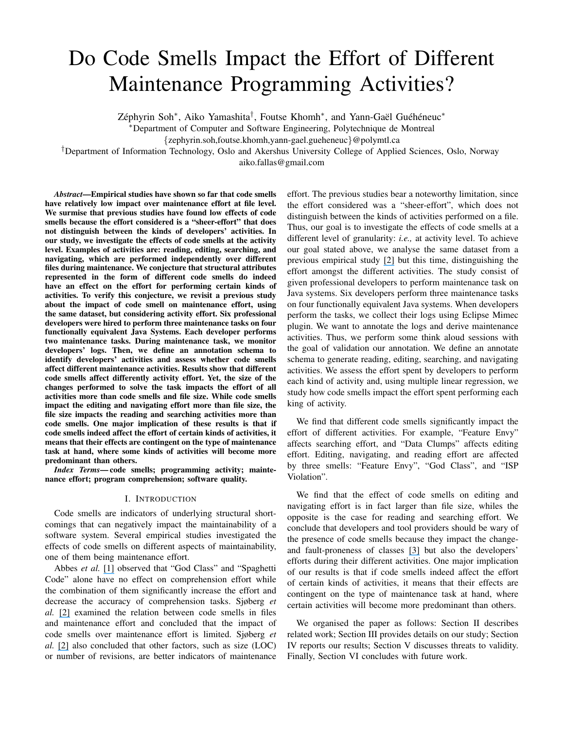# Do Code Smells Impact the Effort of Different Maintenance Programming Activities?

Zéphyrin Soh\*, Aiko Yamashita<sup>†</sup>, Foutse Khomh\*, and Yann-Gaël Guéhéneuc\*

<sup>∗</sup>Department of Computer and Software Engineering, Polytechnique de Montreal

{zephyrin.soh,foutse.khomh,yann-gael.gueheneuc}@polymtl.ca

†Department of Information Technology, Oslo and Akershus University College of Applied Sciences, Oslo, Norway

aiko.fallas@gmail.com

*Abstract*—Empirical studies have shown so far that code smells have relatively low impact over maintenance effort at file level. We surmise that previous studies have found low effects of code smells because the effort considered is a "sheer-effort" that does not distinguish between the kinds of developers' activities. In our study, we investigate the effects of code smells at the activity level. Examples of activities are: reading, editing, searching, and navigating, which are performed independently over different files during maintenance. We conjecture that structural attributes represented in the form of different code smells do indeed have an effect on the effort for performing certain kinds of activities. To verify this conjecture, we revisit a previous study about the impact of code smell on maintenance effort, using the same dataset, but considering activity effort. Six professional developers were hired to perform three maintenance tasks on four functionally equivalent Java Systems. Each developer performs two maintenance tasks. During maintenance task, we monitor developers' logs. Then, we define an annotation schema to identify developers' activities and assess whether code smells affect different maintenance activities. Results show that different code smells affect differently activity effort. Yet, the size of the changes performed to solve the task impacts the effort of all activities more than code smells and file size. While code smells impact the editing and navigating effort more than file size, the file size impacts the reading and searching activities more than code smells. One major implication of these results is that if code smells indeed affect the effort of certain kinds of activities, it means that their effects are contingent on the type of maintenance task at hand, where some kinds of activities will become more predominant than others.

*Index Terms*— code smells; programming activity; maintenance effort; program comprehension; software quality.

### I. INTRODUCTION

Code smells are indicators of underlying structural shortcomings that can negatively impact the maintainability of a software system. Several empirical studies investigated the effects of code smells on different aspects of maintainability, one of them being maintenance effort.

Abbes *et al.* [\[1\]](https://www.researchgate.net/publication/221570070_An_Empirical_Study_of_the_Impact_of_Two_Antipatterns_Blob_and_Spaghetti_Code_On_Program_Comprehension?el=1_x_8&enrichId=rgreq-ffbaf248bf218e6f6fc338d5aad0d79b-XXX&enrichSource=Y292ZXJQYWdlOzMwMzUxMzU1MDtBUzozNzI1MjA0NDk1Mjc4MDhAMTQ2NTgyNzIwNDA3NA==) observed that "God Class" and "Spaghetti Code" alone have no effect on comprehension effort while the combination of them significantly increase the effort and decrease the accuracy of comprehension tasks. Sjøberg *et al.* [\[2\]](https://www.researchgate.net/publication/260648949_Quantifying_the_Effect_of_Code_Smells_on_Maintenance_Effort?el=1_x_8&enrichId=rgreq-ffbaf248bf218e6f6fc338d5aad0d79b-XXX&enrichSource=Y292ZXJQYWdlOzMwMzUxMzU1MDtBUzozNzI1MjA0NDk1Mjc4MDhAMTQ2NTgyNzIwNDA3NA==) examined the relation between code smells in files and maintenance effort and concluded that the impact of code smells over maintenance effort is limited. Sjøberg *et al.* [\[2\]](https://www.researchgate.net/publication/260648949_Quantifying_the_Effect_of_Code_Smells_on_Maintenance_Effort?el=1_x_8&enrichId=rgreq-ffbaf248bf218e6f6fc338d5aad0d79b-XXX&enrichSource=Y292ZXJQYWdlOzMwMzUxMzU1MDtBUzozNzI1MjA0NDk1Mjc4MDhAMTQ2NTgyNzIwNDA3NA==) also concluded that other factors, such as size (LOC) or number of revisions, are better indicators of maintenance effort. The previous studies bear a noteworthy limitation, since the effort considered was a "sheer-effort", which does not distinguish between the kinds of activities performed on a file. Thus, our goal is to investigate the effects of code smells at a different level of granularity: *i.e.,* at activity level. To achieve our goal stated above, we analyse the same dataset from a previous empirical study [\[2\]](https://www.researchgate.net/publication/260648949_Quantifying_the_Effect_of_Code_Smells_on_Maintenance_Effort?el=1_x_8&enrichId=rgreq-ffbaf248bf218e6f6fc338d5aad0d79b-XXX&enrichSource=Y292ZXJQYWdlOzMwMzUxMzU1MDtBUzozNzI1MjA0NDk1Mjc4MDhAMTQ2NTgyNzIwNDA3NA==) but this time, distinguishing the effort amongst the different activities. The study consist of given professional developers to perform maintenance task on Java systems. Six developers perform three maintenance tasks on four functionally equivalent Java systems. When developers perform the tasks, we collect their logs using Eclipse Mimec plugin. We want to annotate the logs and derive maintenance activities. Thus, we perform some think aloud sessions with the goal of validation our annotation. We define an annotate schema to generate reading, editing, searching, and navigating activities. We assess the effort spent by developers to perform each kind of activity and, using multiple linear regression, we study how code smells impact the effort spent performing each king of activity.

We find that different code smells significantly impact the effort of different activities. For example, "Feature Envy" affects searching effort, and "Data Clumps" affects editing effort. Editing, navigating, and reading effort are affected by three smells: "Feature Envy", "God Class", and "ISP Violation".

We find that the effect of code smells on editing and navigating effort is in fact larger than file size, whiles the opposite is the case for reading and searching effort. We conclude that developers and tool providers should be wary of the presence of code smells because they impact the changeand fault-proneness of classes [\[3\]](https://www.researchgate.net/publication/225210593_An_exploratory_study_of_the_impact_of_antipatterns_on_class_change-_and_fault-proneness?el=1_x_8&enrichId=rgreq-ffbaf248bf218e6f6fc338d5aad0d79b-XXX&enrichSource=Y292ZXJQYWdlOzMwMzUxMzU1MDtBUzozNzI1MjA0NDk1Mjc4MDhAMTQ2NTgyNzIwNDA3NA==) but also the developers' efforts during their different activities. One major implication of our results is that if code smells indeed affect the effort of certain kinds of activities, it means that their effects are contingent on the type of maintenance task at hand, where certain activities will become more predominant than others.

We organised the paper as follows: Section II describes related work; Section III provides details on our study; Section IV reports our results; Section V discusses threats to validity. Finally, Section VI concludes with future work.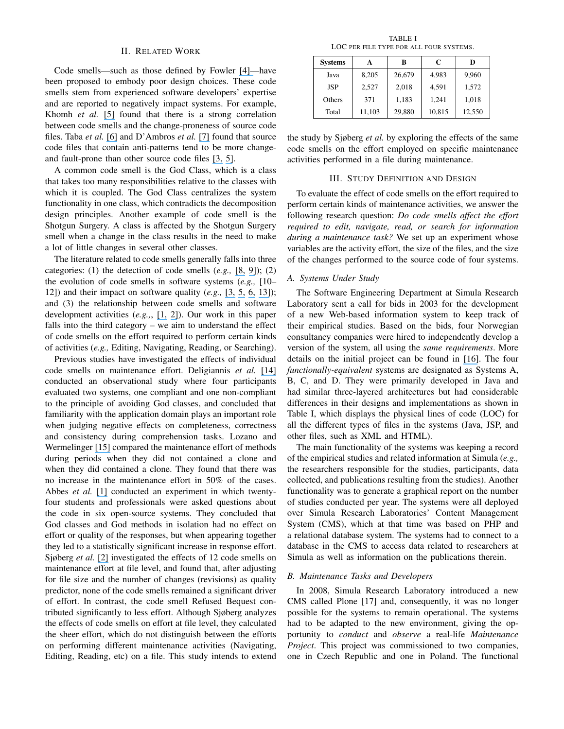# II. RELATED WORK

Code smells—such as those defined by Fowler [\[4\]—](https://www.researchgate.net/publication/221592676_Refactoring_Improving_the_Design_of_Existing_Code?el=1_x_8&enrichId=rgreq-ffbaf248bf218e6f6fc338d5aad0d79b-XXX&enrichSource=Y292ZXJQYWdlOzMwMzUxMzU1MDtBUzozNzI1MjA0NDk1Mjc4MDhAMTQ2NTgyNzIwNDA3NA==)have been proposed to embody poor design choices. These code smells stem from experienced software developers' expertise and are reported to negatively impact systems. For example, Khomh *et al.* [\[5\]](https://www.researchgate.net/publication/221200072_An_Exploratory_Study_of_the_Impact_of_Code_Smells_on_Software_Change-proneness?el=1_x_8&enrichId=rgreq-ffbaf248bf218e6f6fc338d5aad0d79b-XXX&enrichSource=Y292ZXJQYWdlOzMwMzUxMzU1MDtBUzozNzI1MjA0NDk1Mjc4MDhAMTQ2NTgyNzIwNDA3NA==) found that there is a strong correlation between code smells and the change-proneness of source code files. Taba *et al.* [\[6\]](https://www.researchgate.net/publication/261416699_Predicting_Bugs_Using_Antipatterns?el=1_x_8&enrichId=rgreq-ffbaf248bf218e6f6fc338d5aad0d79b-XXX&enrichSource=Y292ZXJQYWdlOzMwMzUxMzU1MDtBUzozNzI1MjA0NDk1Mjc4MDhAMTQ2NTgyNzIwNDA3NA==) and D'Ambros *et al.* [\[7\]](https://www.researchgate.net/publication/221418563_On_the_Impact_of_Design_Flaws_on_Software_Defects?el=1_x_8&enrichId=rgreq-ffbaf248bf218e6f6fc338d5aad0d79b-XXX&enrichSource=Y292ZXJQYWdlOzMwMzUxMzU1MDtBUzozNzI1MjA0NDk1Mjc4MDhAMTQ2NTgyNzIwNDA3NA==) found that source code files that contain anti-patterns tend to be more changeand fault-prone than other source code files [\[3,](https://www.researchgate.net/publication/225210593_An_exploratory_study_of_the_impact_of_antipatterns_on_class_change-_and_fault-proneness?el=1_x_8&enrichId=rgreq-ffbaf248bf218e6f6fc338d5aad0d79b-XXX&enrichSource=Y292ZXJQYWdlOzMwMzUxMzU1MDtBUzozNzI1MjA0NDk1Mjc4MDhAMTQ2NTgyNzIwNDA3NA==) [5\]](https://www.researchgate.net/publication/221200072_An_Exploratory_Study_of_the_Impact_of_Code_Smells_on_Software_Change-proneness?el=1_x_8&enrichId=rgreq-ffbaf248bf218e6f6fc338d5aad0d79b-XXX&enrichSource=Y292ZXJQYWdlOzMwMzUxMzU1MDtBUzozNzI1MjA0NDk1Mjc4MDhAMTQ2NTgyNzIwNDA3NA==).

A common code smell is the God Class, which is a class that takes too many responsibilities relative to the classes with which it is coupled. The God Class centralizes the system functionality in one class, which contradicts the decomposition design principles. Another example of code smell is the Shotgun Surgery. A class is affected by the Shotgun Surgery smell when a change in the class results in the need to make a lot of little changes in several other classes.

The literature related to code smells generally falls into three categories: (1) the detection of code smells (*e.g.,* [\[8,](https://www.researchgate.net/publication/232650234_DECOR_A_Method_for_the_Specification_and_Detection_of_Code_and_Design_Smells?el=1_x_8&enrichId=rgreq-ffbaf248bf218e6f6fc338d5aad0d79b-XXX&enrichSource=Y292ZXJQYWdlOzMwMzUxMzU1MDtBUzozNzI1MjA0NDk1Mjc4MDhAMTQ2NTgyNzIwNDA3NA==) [9\]](https://www.researchgate.net/publication/220377543_BDTEX_A_GQM-based_Bayesian_approach_for_the_detection_of_antipatterns?el=1_x_8&enrichId=rgreq-ffbaf248bf218e6f6fc338d5aad0d79b-XXX&enrichSource=Y292ZXJQYWdlOzMwMzUxMzU1MDtBUzozNzI1MjA0NDk1Mjc4MDhAMTQ2NTgyNzIwNDA3NA==)); (2) the evolution of code smells in software systems (*e.g.,* [10– 12]) and their impact on software quality (*e.g.,* [\[3,](https://www.researchgate.net/publication/225210593_An_exploratory_study_of_the_impact_of_antipatterns_on_class_change-_and_fault-proneness?el=1_x_8&enrichId=rgreq-ffbaf248bf218e6f6fc338d5aad0d79b-XXX&enrichSource=Y292ZXJQYWdlOzMwMzUxMzU1MDtBUzozNzI1MjA0NDk1Mjc4MDhAMTQ2NTgyNzIwNDA3NA==) [5,](https://www.researchgate.net/publication/221200072_An_Exploratory_Study_of_the_Impact_of_Code_Smells_on_Software_Change-proneness?el=1_x_8&enrichId=rgreq-ffbaf248bf218e6f6fc338d5aad0d79b-XXX&enrichSource=Y292ZXJQYWdlOzMwMzUxMzU1MDtBUzozNzI1MjA0NDk1Mjc4MDhAMTQ2NTgyNzIwNDA3NA==) [6,](https://www.researchgate.net/publication/261416699_Predicting_Bugs_Using_Antipatterns?el=1_x_8&enrichId=rgreq-ffbaf248bf218e6f6fc338d5aad0d79b-XXX&enrichSource=Y292ZXJQYWdlOzMwMzUxMzU1MDtBUzozNzI1MjA0NDk1Mjc4MDhAMTQ2NTgyNzIwNDA3NA==) [13\]](https://www.researchgate.net/publication/4231685_An_Investigation_of_Bad_Smells_in_Object-Oriented_Design?el=1_x_8&enrichId=rgreq-ffbaf248bf218e6f6fc338d5aad0d79b-XXX&enrichSource=Y292ZXJQYWdlOzMwMzUxMzU1MDtBUzozNzI1MjA0NDk1Mjc4MDhAMTQ2NTgyNzIwNDA3NA==)); and (3) the relationship between code smells and software development activities (*e.g.,*, [\[1,](https://www.researchgate.net/publication/221570070_An_Empirical_Study_of_the_Impact_of_Two_Antipatterns_Blob_and_Spaghetti_Code_On_Program_Comprehension?el=1_x_8&enrichId=rgreq-ffbaf248bf218e6f6fc338d5aad0d79b-XXX&enrichSource=Y292ZXJQYWdlOzMwMzUxMzU1MDtBUzozNzI1MjA0NDk1Mjc4MDhAMTQ2NTgyNzIwNDA3NA==) [2\]](https://www.researchgate.net/publication/260648949_Quantifying_the_Effect_of_Code_Smells_on_Maintenance_Effort?el=1_x_8&enrichId=rgreq-ffbaf248bf218e6f6fc338d5aad0d79b-XXX&enrichSource=Y292ZXJQYWdlOzMwMzUxMzU1MDtBUzozNzI1MjA0NDk1Mjc4MDhAMTQ2NTgyNzIwNDA3NA==)). Our work in this paper falls into the third category – we aim to understand the effect of code smells on the effort required to perform certain kinds of activities (*e.g.,* Editing, Navigating, Reading, or Searching).

Previous studies have investigated the effects of individual code smells on maintenance effort. Deligiannis *et al.* [\[14\]](https://www.researchgate.net/publication/222531224_An_empirical_investigation_of_an_object-oriented_design_heuristic_for_maintainability?el=1_x_8&enrichId=rgreq-ffbaf248bf218e6f6fc338d5aad0d79b-XXX&enrichSource=Y292ZXJQYWdlOzMwMzUxMzU1MDtBUzozNzI1MjA0NDk1Mjc4MDhAMTQ2NTgyNzIwNDA3NA==) conducted an observational study where four participants evaluated two systems, one compliant and one non-compliant to the principle of avoiding God classes, and concluded that familiarity with the application domain plays an important role when judging negative effects on completeness, correctness and consistency during comprehension tasks. Lozano and Wermelinger [\[15\]](https://www.researchgate.net/publication/224343286_Assessing_the_effect_of_clones_on_changeability?el=1_x_8&enrichId=rgreq-ffbaf248bf218e6f6fc338d5aad0d79b-XXX&enrichSource=Y292ZXJQYWdlOzMwMzUxMzU1MDtBUzozNzI1MjA0NDk1Mjc4MDhAMTQ2NTgyNzIwNDA3NA==) compared the maintenance effort of methods during periods when they did not contained a clone and when they did contained a clone. They found that there was no increase in the maintenance effort in 50% of the cases. Abbes *et al.* [\[1\]](https://www.researchgate.net/publication/221570070_An_Empirical_Study_of_the_Impact_of_Two_Antipatterns_Blob_and_Spaghetti_Code_On_Program_Comprehension?el=1_x_8&enrichId=rgreq-ffbaf248bf218e6f6fc338d5aad0d79b-XXX&enrichSource=Y292ZXJQYWdlOzMwMzUxMzU1MDtBUzozNzI1MjA0NDk1Mjc4MDhAMTQ2NTgyNzIwNDA3NA==) conducted an experiment in which twentyfour students and professionals were asked questions about the code in six open-source systems. They concluded that God classes and God methods in isolation had no effect on effort or quality of the responses, but when appearing together they led to a statistically significant increase in response effort. Sjøberg *et al.* [\[2\]](https://www.researchgate.net/publication/260648949_Quantifying_the_Effect_of_Code_Smells_on_Maintenance_Effort?el=1_x_8&enrichId=rgreq-ffbaf248bf218e6f6fc338d5aad0d79b-XXX&enrichSource=Y292ZXJQYWdlOzMwMzUxMzU1MDtBUzozNzI1MjA0NDk1Mjc4MDhAMTQ2NTgyNzIwNDA3NA==) investigated the effects of 12 code smells on maintenance effort at file level, and found that, after adjusting for file size and the number of changes (revisions) as quality predictor, none of the code smells remained a significant driver of effort. In contrast, the code smell Refused Bequest contributed significantly to less effort. Although Sjøberg analyzes the effects of code smells on effort at file level, they calculated the sheer effort, which do not distinguish between the efforts on performing different maintenance activities (Navigating, Editing, Reading, etc) on a file. This study intends to extend

TABLE I LOC PER FILE TYPE FOR ALL FOUR SYSTEMS.

| <b>Systems</b> | A      | B      | C      | D      |
|----------------|--------|--------|--------|--------|
| Java           | 8,205  | 26,679 | 4,983  | 9,960  |
| <b>JSP</b>     | 2,527  | 2,018  | 4,591  | 1,572  |
| Others         | 371    | 1,183  | 1,241  | 1,018  |
| Total          | 11,103 | 29,880 | 10,815 | 12,550 |

the study by Sjøberg *et al.* by exploring the effects of the same code smells on the effort employed on specific maintenance activities performed in a file during maintenance.

## III. STUDY DEFINITION AND DESIGN

To evaluate the effect of code smells on the effort required to perform certain kinds of maintenance activities, we answer the following research question: *Do code smells affect the effort required to edit, navigate, read, or search for information during a maintenance task?* We set up an experiment whose variables are the activity effort, the size of the files, and the size of the changes performed to the source code of four systems.

# *A. Systems Under Study*

The Software Engineering Department at Simula Research Laboratory sent a call for bids in 2003 for the development of a new Web-based information system to keep track of their empirical studies. Based on the bids, four Norwegian consultancy companies were hired to independently develop a version of the system, all using the *same requirements*. More details on the initial project can be found in [\[16\]](https://www.researchgate.net/publication/224354407_Variability_and_Reproducibility_in_Software_Engineering_A_Study_of_Four_Companies_that_Developed_the_Same_System?el=1_x_8&enrichId=rgreq-ffbaf248bf218e6f6fc338d5aad0d79b-XXX&enrichSource=Y292ZXJQYWdlOzMwMzUxMzU1MDtBUzozNzI1MjA0NDk1Mjc4MDhAMTQ2NTgyNzIwNDA3NA==). The four *functionally-equivalent* systems are designated as Systems A, B, C, and D. They were primarily developed in Java and had similar three-layered architectures but had considerable differences in their designs and implementations as shown in Table I, which displays the physical lines of code (LOC) for all the different types of files in the systems (Java, JSP, and other files, such as XML and HTML).

The main functionality of the systems was keeping a record of the empirical studies and related information at Simula (*e.g.,* the researchers responsible for the studies, participants, data collected, and publications resulting from the studies). Another functionality was to generate a graphical report on the number of studies conducted per year. The systems were all deployed over Simula Research Laboratories' Content Management System (CMS), which at that time was based on PHP and a relational database system. The systems had to connect to a database in the CMS to access data related to researchers at Simula as well as information on the publications therein.

# *B. Maintenance Tasks and Developers*

In 2008, Simula Research Laboratory introduced a new CMS called Plone [17] and, consequently, it was no longer possible for the systems to remain operational. The systems had to be adapted to the new environment, giving the opportunity to *conduct* and *observe* a real-life *Maintenance Project*. This project was commissioned to two companies, one in Czech Republic and one in Poland. The functional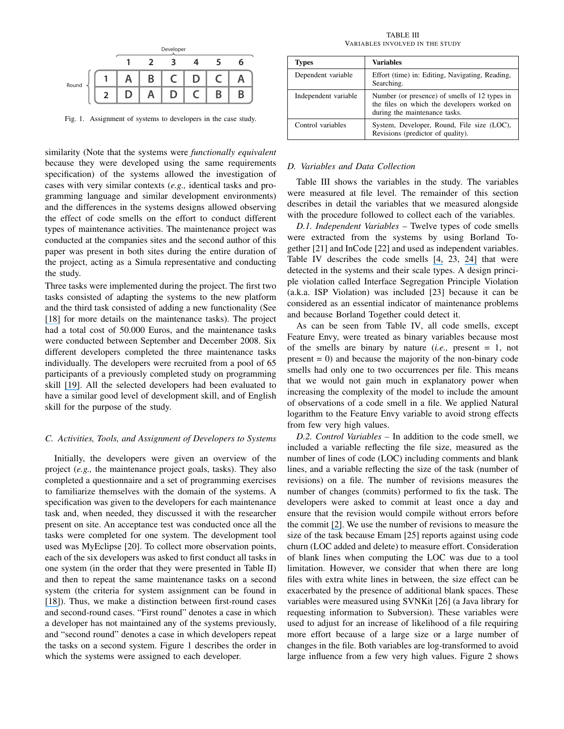

Fig. 1. Assignment of systems to developers in the case study.

similarity (Note that the systems were *functionally equivalent* because they were developed using the same requirements specification) of the systems allowed the investigation of cases with very similar contexts (*e.g.,* identical tasks and programming language and similar development environments) and the differences in the systems designs allowed observing the effect of code smells on the effort to conduct different types of maintenance activities. The maintenance project was conducted at the companies sites and the second author of this paper was present in both sites during the entire duration of the project, acting as a Simula representative and conducting the study.

Three tasks were implemented during the project. The first two tasks consisted of adapting the systems to the new platform and the third task consisted of adding a new functionality (See [\[18\]](https://www.researchgate.net/publication/272756718_Assessing_the_capability_of_code_smells_to_support_software_maintainability_assessments_Empirical_inquiry_and_methodological_approach?el=1_x_8&enrichId=rgreq-ffbaf248bf218e6f6fc338d5aad0d79b-XXX&enrichSource=Y292ZXJQYWdlOzMwMzUxMzU1MDtBUzozNzI1MjA0NDk1Mjc4MDhAMTQ2NTgyNzIwNDA3NA==) for more details on the maintenance tasks). The project had a total cost of 50.000 Euros, and the maintenance tasks were conducted between September and December 2008. Six different developers completed the three maintenance tasks individually. The developers were recruited from a pool of 65 participants of a previously completed study on programming skill [\[19\]](https://www.researchgate.net/publication/241843552_Programming_Skill_Knowledge_and_Working_Memory_Among_Professional_Software_Developers_from_an_Investment_Theory_Perspective?el=1_x_8&enrichId=rgreq-ffbaf248bf218e6f6fc338d5aad0d79b-XXX&enrichSource=Y292ZXJQYWdlOzMwMzUxMzU1MDtBUzozNzI1MjA0NDk1Mjc4MDhAMTQ2NTgyNzIwNDA3NA==). All the selected developers had been evaluated to have a similar good level of development skill, and of English skill for the purpose of the study.

# *C. Activities, Tools, and Assignment of Developers to Systems*

Initially, the developers were given an overview of the project (*e.g.,* the maintenance project goals, tasks). They also completed a questionnaire and a set of programming exercises to familiarize themselves with the domain of the systems. A specification was given to the developers for each maintenance task and, when needed, they discussed it with the researcher present on site. An acceptance test was conducted once all the tasks were completed for one system. The development tool used was MyEclipse [20]. To collect more observation points, each of the six developers was asked to first conduct all tasks in one system (in the order that they were presented in Table II) and then to repeat the same maintenance tasks on a second system (the criteria for system assignment can be found in [\[18\]](https://www.researchgate.net/publication/272756718_Assessing_the_capability_of_code_smells_to_support_software_maintainability_assessments_Empirical_inquiry_and_methodological_approach?el=1_x_8&enrichId=rgreq-ffbaf248bf218e6f6fc338d5aad0d79b-XXX&enrichSource=Y292ZXJQYWdlOzMwMzUxMzU1MDtBUzozNzI1MjA0NDk1Mjc4MDhAMTQ2NTgyNzIwNDA3NA==)). Thus, we make a distinction between first-round cases and second-round cases. "First round" denotes a case in which a developer has not maintained any of the systems previously, and "second round" denotes a case in which developers repeat the tasks on a second system. Figure 1 describes the order in which the systems were assigned to each developer.

TABLE III VARIABLES INVOLVED IN THE STUDY

| <b>Types</b>         | <b>Variables</b>                                                                                                              |
|----------------------|-------------------------------------------------------------------------------------------------------------------------------|
| Dependent variable   | Effort (time) in: Editing, Navigating, Reading,<br>Searching.                                                                 |
| Independent variable | Number (or presence) of smells of 12 types in<br>the files on which the developers worked on<br>during the maintenance tasks. |
| Control variables    | System, Developer, Round, File size (LOC),<br>Revisions (predictor of quality).                                               |

## *D. Variables and Data Collection*

Table III shows the variables in the study. The variables were measured at file level. The remainder of this section describes in detail the variables that we measured alongside with the procedure followed to collect each of the variables.

*D.1. Independent Variables –* Twelve types of code smells were extracted from the systems by using Borland Together [21] and InCode [22] and used as independent variables. Table IV describes the code smells [\[4,](https://www.researchgate.net/publication/221592676_Refactoring_Improving_the_Design_of_Existing_Code?el=1_x_8&enrichId=rgreq-ffbaf248bf218e6f6fc338d5aad0d79b-XXX&enrichSource=Y292ZXJQYWdlOzMwMzUxMzU1MDtBUzozNzI1MjA0NDk1Mjc4MDhAMTQ2NTgyNzIwNDA3NA==) 23, [24\]](https://www.researchgate.net/publication/235709216_Assessing_technical_debt_by_identifying_design_flaws_in_software_systems?el=1_x_8&enrichId=rgreq-ffbaf248bf218e6f6fc338d5aad0d79b-XXX&enrichSource=Y292ZXJQYWdlOzMwMzUxMzU1MDtBUzozNzI1MjA0NDk1Mjc4MDhAMTQ2NTgyNzIwNDA3NA==) that were detected in the systems and their scale types. A design principle violation called Interface Segregation Principle Violation (a.k.a. ISP Violation) was included [23] because it can be considered as an essential indicator of maintenance problems and because Borland Together could detect it.

As can be seen from Table IV, all code smells, except Feature Envy, were treated as binary variables because most of the smells are binary by nature (*i.e.,* present = 1, not  $present = 0$ ) and because the majority of the non-binary code smells had only one to two occurrences per file. This means that we would not gain much in explanatory power when increasing the complexity of the model to include the amount of observations of a code smell in a file. We applied Natural logarithm to the Feature Envy variable to avoid strong effects from few very high values.

*D.2. Control Variables –* In addition to the code smell, we included a variable reflecting the file size, measured as the number of lines of code (LOC) including comments and blank lines, and a variable reflecting the size of the task (number of revisions) on a file. The number of revisions measures the number of changes (commits) performed to fix the task. The developers were asked to commit at least once a day and ensure that the revision would compile without errors before the commit [\[2\]](https://www.researchgate.net/publication/260648949_Quantifying_the_Effect_of_Code_Smells_on_Maintenance_Effort?el=1_x_8&enrichId=rgreq-ffbaf248bf218e6f6fc338d5aad0d79b-XXX&enrichSource=Y292ZXJQYWdlOzMwMzUxMzU1MDtBUzozNzI1MjA0NDk1Mjc4MDhAMTQ2NTgyNzIwNDA3NA==). We use the number of revisions to measure the size of the task because Emam [25] reports against using code churn (LOC added and delete) to measure effort. Consideration of blank lines when computing the LOC was due to a tool limitation. However, we consider that when there are long files with extra white lines in between, the size effect can be exacerbated by the presence of additional blank spaces. These variables were measured using SVNKit [26] (a Java library for requesting information to Subversion). These variables were used to adjust for an increase of likelihood of a file requiring more effort because of a large size or a large number of changes in the file. Both variables are log-transformed to avoid large influence from a few very high values. Figure 2 shows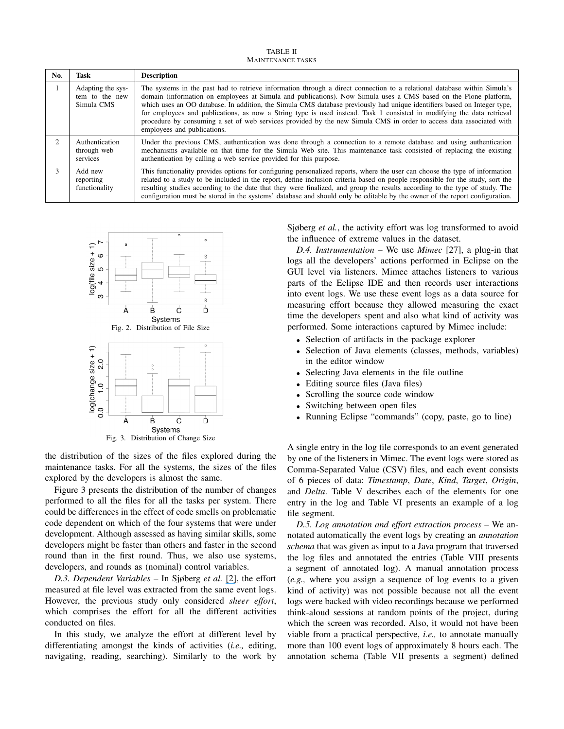TABLE II MAINTENANCE TASKS

| No.            | Task                                              | <b>Description</b>                                                                                                                                                                                                                                                                                                                                                                                                                                                                                                                                                                                                                                       |
|----------------|---------------------------------------------------|----------------------------------------------------------------------------------------------------------------------------------------------------------------------------------------------------------------------------------------------------------------------------------------------------------------------------------------------------------------------------------------------------------------------------------------------------------------------------------------------------------------------------------------------------------------------------------------------------------------------------------------------------------|
|                | Adapting the sys-<br>tem to the new<br>Simula CMS | The systems in the past had to retrieve information through a direct connection to a relational database within Simula's<br>domain (information on employees at Simula and publications). Now Simula uses a CMS based on the Plone platform,<br>which uses an OO database. In addition, the Simula CMS database previously had unique identifiers based on Integer type,<br>for employees and publications, as now a String type is used instead. Task 1 consisted in modifying the data retrieval<br>procedure by consuming a set of web services provided by the new Simula CMS in order to access data associated with<br>employees and publications. |
| $\mathfrak{D}$ | Authentication<br>through web<br>services         | Under the previous CMS, authentication was done through a connection to a remote database and using authentication<br>mechanisms available on that time for the Simula Web site. This maintenance task consisted of replacing the existing<br>authentication by calling a web service provided for this purpose.                                                                                                                                                                                                                                                                                                                                         |
| $\mathcal{F}$  | Add new<br>reporting<br>functionality             | This functionality provides options for configuring personalized reports, where the user can choose the type of information<br>related to a study to be included in the report, define inclusion criteria based on people responsible for the study, sort the<br>resulting studies according to the date that they were finalized, and group the results according to the type of study. The<br>configuration must be stored in the systems' database and should only be editable by the owner of the report configuration.                                                                                                                              |



the distribution of the sizes of the files explored during the maintenance tasks. For all the systems, the sizes of the files explored by the developers is almost the same.

Figure 3 presents the distribution of the number of changes performed to all the files for all the tasks per system. There could be differences in the effect of code smells on problematic code dependent on which of the four systems that were under development. Although assessed as having similar skills, some developers might be faster than others and faster in the second round than in the first round. Thus, we also use systems, developers, and rounds as (nominal) control variables.

*D.3. Dependent Variables –* In Sjøberg *et al.* [\[2\]](https://www.researchgate.net/publication/260648949_Quantifying_the_Effect_of_Code_Smells_on_Maintenance_Effort?el=1_x_8&enrichId=rgreq-ffbaf248bf218e6f6fc338d5aad0d79b-XXX&enrichSource=Y292ZXJQYWdlOzMwMzUxMzU1MDtBUzozNzI1MjA0NDk1Mjc4MDhAMTQ2NTgyNzIwNDA3NA==), the effort measured at file level was extracted from the same event logs. However, the previous study only considered *sheer effort*, which comprises the effort for all the different activities conducted on files.

In this study, we analyze the effort at different level by differentiating amongst the kinds of activities (*i.e.,* editing, navigating, reading, searching). Similarly to the work by

Sjøberg *et al.*, the activity effort was log transformed to avoid the influence of extreme values in the dataset.

*D.4. Instrumentation –* We use *Mimec* [27], a plug-in that logs all the developers' actions performed in Eclipse on the GUI level via listeners. Mimec attaches listeners to various parts of the Eclipse IDE and then records user interactions into event logs. We use these event logs as a data source for measuring effort because they allowed measuring the exact time the developers spent and also what kind of activity was performed. Some interactions captured by Mimec include:

- Selection of artifacts in the package explorer
- Selection of Java elements (classes, methods, variables) in the editor window
- Selecting Java elements in the file outline
- Editing source files (Java files)
- Scrolling the source code window
- Switching between open files
- Running Eclipse "commands" (copy, paste, go to line)

A single entry in the log file corresponds to an event generated by one of the listeners in Mimec. The event logs were stored as Comma-Separated Value (CSV) files, and each event consists of 6 pieces of data: *Timestamp*, *Date*, *Kind*, *Target*, *Origin*, and *Delta*. Table V describes each of the elements for one entry in the log and Table VI presents an example of a log file segment.

*D.5. Log annotation and effort extraction process –* We annotated automatically the event logs by creating an *annotation schema* that was given as input to a Java program that traversed the log files and annotated the entries (Table VIII presents a segment of annotated log). A manual annotation process (*e.g.,* where you assign a sequence of log events to a given kind of activity) was not possible because not all the event logs were backed with video recordings because we performed think-aloud sessions at random points of the project, during which the screen was recorded. Also, it would not have been viable from a practical perspective, *i.e.,* to annotate manually more than 100 event logs of approximately 8 hours each. The annotation schema (Table VII presents a segment) defined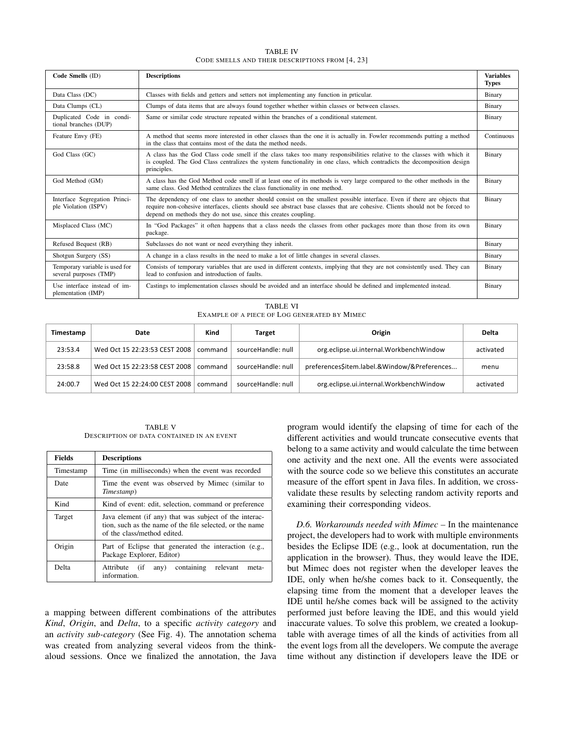| <b>TABLE IV</b>                                 |
|-------------------------------------------------|
| CODE SMELLS AND THEIR DESCRIPTIONS FROM [4, 23] |

| Code Smells (ID)                                         | <b>Descriptions</b>                                                                                                                                                                                                                                                                                                         | <b>Variables</b><br><b>Types</b> |
|----------------------------------------------------------|-----------------------------------------------------------------------------------------------------------------------------------------------------------------------------------------------------------------------------------------------------------------------------------------------------------------------------|----------------------------------|
| Data Class (DC)                                          | Classes with fields and getters and setters not implementing any function in prticular.                                                                                                                                                                                                                                     | Binary                           |
| Data Clumps (CL)                                         | Clumps of data items that are always found together whether within classes or between classes.                                                                                                                                                                                                                              | Binary                           |
| Duplicated Code in condi-<br>tional branches (DUP)       | Same or similar code structure repeated within the branches of a conditional statement.                                                                                                                                                                                                                                     | Binary                           |
| Feature Envy (FE)                                        | A method that seems more interested in other classes than the one it is actually in. Fowler recommends putting a method<br>in the class that contains most of the data the method needs.                                                                                                                                    | Continuous                       |
| God Class (GC)                                           | A class has the God Class code smell if the class takes too many responsibilities relative to the classes with which it<br>is coupled. The God Class centralizes the system functionality in one class, which contradicts the decomposition design<br>principles.                                                           | Binary                           |
| God Method (GM)                                          | A class has the God Method code smell if at least one of its methods is very large compared to the other methods in the<br>same class. God Method centralizes the class functionality in one method.                                                                                                                        | Binary                           |
| Interface Segregation Princi-<br>ple Violation (ISPV)    | The dependency of one class to another should consist on the smallest possible interface. Even if there are objects that<br>require non-cohesive interfaces, clients should see abstract base classes that are cohesive. Clients should not be forced to<br>depend on methods they do not use, since this creates coupling. | Binary                           |
| Misplaced Class (MC)                                     | In "God Packages" it often happens that a class needs the classes from other packages more than those from its own<br>package.                                                                                                                                                                                              | Binary                           |
| Refused Bequest (RB)                                     | Subclasses do not want or need everything they inherit.                                                                                                                                                                                                                                                                     | Binary                           |
| Shotgun Surgery (SS)                                     | A change in a class results in the need to make a lot of little changes in several classes.                                                                                                                                                                                                                                 | Binary                           |
| Temporary variable is used for<br>several purposes (TMP) | Consists of temporary variables that are used in different contexts, implying that they are not consistently used. They can<br>lead to confusion and introduction of faults.                                                                                                                                                | Binary                           |
| Use interface instead of im-<br>plementation (IMP)       | Castings to implementation classes should be avoided and an interface should be defined and implemented instead.                                                                                                                                                                                                            | Binary                           |

TABLE VI IABLE VI<br>Example of a piece of Log generated by Mimec

| Timestamp | Date                                                          |  | <b>Target</b>                           | Origin                                       | <b>Delta</b> |
|-----------|---------------------------------------------------------------|--|-----------------------------------------|----------------------------------------------|--------------|
| 23:53.4   | Wed Oct 15 22:23:53 CEST 2008   command<br>sourceHandle: null |  | org.eclipse.ui.internal.WorkbenchWindow | activated                                    |              |
| 23:58.8   | Wed Oct 15 22:23:58 CEST 2008   command                       |  | sourceHandle: null                      | preferences\$item.label.&Window/&Preferences | menu         |
| 24:00.7   | Wed Oct 15 22:24:00 CEST 2008   command                       |  | sourceHandle: null                      | org.eclipse.ui.internal.WorkbenchWindow      | activated    |

TABLE V DESCRIPTION OF DATA CONTAINED IN AN EVENT

|               |                                                                                                                                                   | 0                                         |
|---------------|---------------------------------------------------------------------------------------------------------------------------------------------------|-------------------------------------------|
| <b>Fields</b> | <b>Descriptions</b>                                                                                                                               | one activity and the                      |
| Timestamp     | Time (in milliseconds) when the event was recorded                                                                                                | with the source co                        |
| Date          | Time the event was observed by Mimec (similar to<br>Timestamp)                                                                                    | measure of the eff<br>validate these resu |
| Kind          | Kind of event: edit, selection, command or preference                                                                                             | examining their co                        |
| Target        | Java element (if any) that was subject of the interac-<br>tion, such as the name of the file selected, or the name<br>of the class/method edited. | D.6. Workaroun<br>project, the develop    |
| Origin        | Part of Eclipse that generated the interaction (e.g.,<br>Package Explorer, Editor)                                                                | besides the Eclips<br>application in the  |
| Delta         | containing<br>Attribute<br>(ii<br>relevant<br>any)<br>meta-<br>information.                                                                       | but Mimec does 1<br>$IDF$ only when $F$   |

a mapping between different combinations of the attributes *Kind*, *Origin*, and *Delta*, to a specific *activity category* and an *activity sub-category* (See Fig. 4). The annotation schema was created from analyzing several videos from the thinkaloud sessions. Once we finalized the annotation, the Java

DESCRIPTION OF DATA CONTAINED IN AN EVENT<br> **different activities and would truncate consecutive events that Descriptions** one activity and the next one. All the events were associated one activity and the next one. All the events were associated Time the event was observed by Mimec (similar to measure of the effort spent in Java files. In addition, we crossprogram would identify the elapsing of time for each of the belong to a same activity and would calculate the time between with the source code so we believe this constitutes an accurate validate these results by selecting random activity reports and examining their corresponding videos.

of the class/method edited. project, the developers had to work with multiple environments besides the Eclipse IDE (e.g., look at documentation, run the besides the Eclipse IDE (e.g., look at documentation, run the application in the browser). Thus, they would leave the IDE, Intaining relevant meta-<br>IDE only when he/she comes back to it. Consequently the IDE, only when he/she comes back to it. Consequently, the *D.6. Workarounds needed with Mimec –* In the maintenance elapsing time from the moment that a developer leaves the IDE until he/she comes back will be assigned to the activity performed just before leaving the IDE, and this would yield inaccurate values. To solve this problem, we created a lookuptable with average times of all the kinds of activities from all the event logs from all the developers. We compute the average time without any distinction if developers leave the IDE or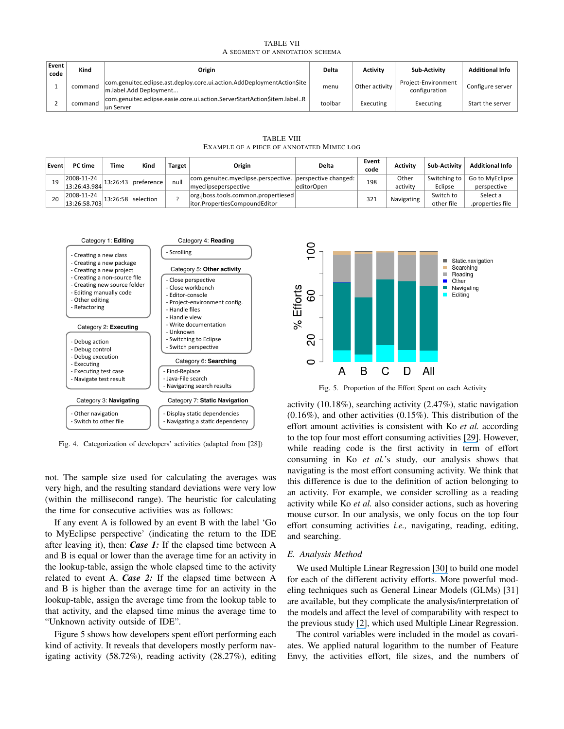#### TABLE VII A SEGMENT OF ANNOTATION SCHEMA A!segment!of!annotation!schema

| Event<br>code | Kind    | Origin                                                                                            | <b>Delta</b> | <b>Activity</b> | Sub-Activity                         | <b>Additional Info</b> |
|---------------|---------|---------------------------------------------------------------------------------------------------|--------------|-----------------|--------------------------------------|------------------------|
|               | command | com.genuitec.eclipse.ast.deploy.core.ui.action.AddDeploymentAction\$ite<br>m.label.Add Deployment | menu         | Other activity  | Project-Environment<br>configuration | Configure server       |
|               | command | com.genuitec.eclipse.easie.core.ui.action.ServerStartAction\$item.labelR<br>lun Server            | toolbar      | Executing       | Executing                            | Start the server       |
|               |         |                                                                                                   |              |                 |                                      |                        |

TABLE VIII **EXAMPLE OF A PIECE OF ANNOTATED MIMEC LOG** 

| Event | <b>PC</b> time                         | Time | Kind       | Target | Origin                                                   | Delta      | Event<br>code                       | <b>Activity</b> | <b>Sub-Activity</b> | <b>Additional Info</b> |           |          |
|-------|----------------------------------------|------|------------|--------|----------------------------------------------------------|------------|-------------------------------------|-----------------|---------------------|------------------------|-----------|----------|
|       | 2008-11-24                             |      |            | null   | com.genuitec.myeclipse.perspective. perspective changed: |            | 198                                 | Other           | Switching to        | Go to MyEclipse        |           |          |
|       | $\sim$  13:26:43.984 13:26:43   preise |      | preference |        | myeclipseperspective                                     | editorOpen |                                     | activity        | Eclipse             | perspective            |           |          |
|       | 2008-11-24                             |      |            |        |                                                          |            | org.jboss.tools.common.propertiesed |                 | 321                 |                        | Switch to | Select a |
|       | $\sim$ 13:26:58.703 13:26:58 selection |      |            |        | itor.PropertiesCompoundEditor                            |            |                                     | Navigating      | other file          | .properties file       |           |          |



Fig. 4. Categorization of developers' activities (adapted from [28])

not. The sample size used for calculating the averages was very high, and the resulting standard deviations were very low (within the millisecond range). The heuristic for calculating the time for consecutive activities was as follows:

If any event A is followed by an event B with the label 'Go to MyEclipse perspective' (indicating the return to the IDE after leaving it), then: *Case 1:* If the elapsed time between A and B is equal or lower than the average time for an activity in the lookup-table, assign the whole elapsed time to the activity related to event A. *Case 2:* If the elapsed time between A and B is higher than the average time for an activity in the lookup-table, assign the average time from the lookup table to that activity, and the elapsed time minus the average time to "Unknown activity outside of IDE".

Figure 5 shows how developers spent effort performing each kind of activity. It reveals that developers mostly perform navigating activity (58.72%), reading activity (28.27%), editing



Fig. 5. Proportion of the Effort Spent on each Activity

activity (10.18%), searching activity (2.47%), static navigation (0.16%), and other activities (0.15%). This distribution of the effort amount activities is consistent with Ko *et al.* according to the top four most effort consuming activities [\[29\]](https://www.researchgate.net/publication/3189706_An_Exploratory_Study_of_How_Developers_Seek_Relate_and_Collect_Relevant_Information_during_Software_Maintenance_Tasks?el=1_x_8&enrichId=rgreq-ffbaf248bf218e6f6fc338d5aad0d79b-XXX&enrichSource=Y292ZXJQYWdlOzMwMzUxMzU1MDtBUzozNzI1MjA0NDk1Mjc4MDhAMTQ2NTgyNzIwNDA3NA==). However, while reading code is the first activity in term of effort consuming in Ko *et al.*'s study, our analysis shows that navigating is the most effort consuming activity. We think that this difference is due to the definition of action belonging to an activity. For example, we consider scrolling as a reading activity while Ko *et al.* also consider actions, such as hovering mouse cursor. In our analysis, we only focus on the top four effort consuming activities *i.e.,* navigating, reading, editing, and searching.

# *E. Analysis Method*

We used Multiple Linear Regression [\[30\]](https://www.researchgate.net/publication/241278355_Discovering_Statistics_Using_SAS?el=1_x_8&enrichId=rgreq-ffbaf248bf218e6f6fc338d5aad0d79b-XXX&enrichSource=Y292ZXJQYWdlOzMwMzUxMzU1MDtBUzozNzI1MjA0NDk1Mjc4MDhAMTQ2NTgyNzIwNDA3NA==) to build one model for each of the different activity efforts. More powerful modeling techniques such as General Linear Models (GLMs) [31] are available, but they complicate the analysis/interpretation of the models and affect the level of comparability with respect to the previous study [\[2\]](https://www.researchgate.net/publication/260648949_Quantifying_the_Effect_of_Code_Smells_on_Maintenance_Effort?el=1_x_8&enrichId=rgreq-ffbaf248bf218e6f6fc338d5aad0d79b-XXX&enrichSource=Y292ZXJQYWdlOzMwMzUxMzU1MDtBUzozNzI1MjA0NDk1Mjc4MDhAMTQ2NTgyNzIwNDA3NA==), which used Multiple Linear Regression.

The control variables were included in the model as covariates. We applied natural logarithm to the number of Feature Envy, the activities effort, file sizes, and the numbers of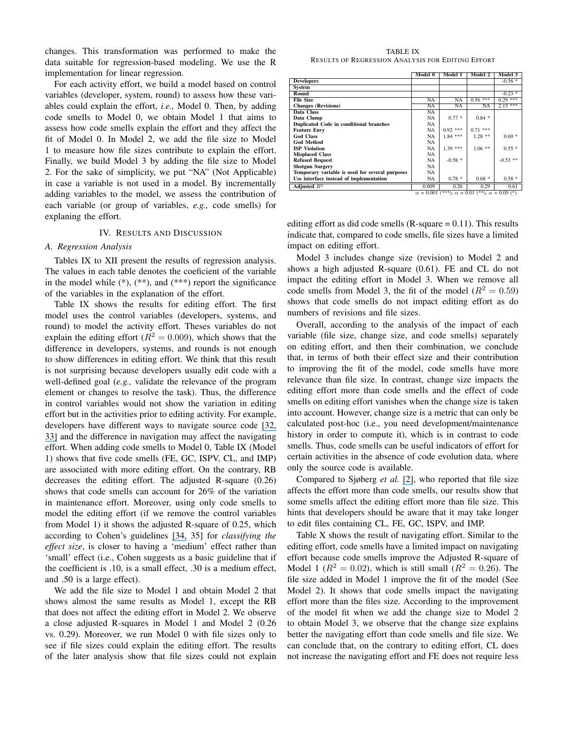changes. This transformation was performed to make the data suitable for regression-based modeling. We use the R implementation for linear regression.

For each activity effort, we build a model based on control variables (developer, system, round) to assess how these variables could explain the effort, *i.e.,* Model 0. Then, by adding code smells to Model 0, we obtain Model 1 that aims to assess how code smells explain the effort and they affect the fit of Model 0. In Model 2, we add the file size to Model 1 to measure how file sizes contribute to explain the effort. Finally, we build Model 3 by adding the file size to Model 2. For the sake of simplicity, we put "NA" (Not Applicable) in case a variable is not used in a model. By incrementally adding variables to the model, we assess the contribution of each variable (or group of variables, *e.g.,* code smells) for explaning the effort.

## IV. RESULTS AND DISCUSSION

## *A. Regression Analysis*

Tables IX to XII present the results of regression analysis. The values in each table denotes the coeficient of the variable in the model while  $(*), (*),$  and  $(***)$  report the significance of the variables in the explanation of the effort.

Table IX shows the results for editing effort. The first model uses the control variables (developers, systems, and round) to model the activity effort. Theses variables do not explain the editing effort ( $R^2 = 0.009$ ), which shows that the difference in developers, systems, and rounds is not enough to show differences in editing effort. We think that this result is not surprising because developers usually edit code with a well-defined goal (*e.g.,* validate the relevance of the program element or changes to resolve the task). Thus, the difference in control variables would not show the variation in editing effort but in the activities prior to editing activity. For example, developers have different ways to navigate source code [\[32,](https://www.researchgate.net/publication/3188457_How_effective_developers_investigate_source_code_An_exploratory_study?el=1_x_8&enrichId=rgreq-ffbaf248bf218e6f6fc338d5aad0d79b-XXX&enrichSource=Y292ZXJQYWdlOzMwMzUxMzU1MDtBUzozNzI1MjA0NDk1Mjc4MDhAMTQ2NTgyNzIwNDA3NA==) [33\]](https://www.researchgate.net/publication/261040353_On_the_effect_of_program_exploration_on_maintenance_tasks?el=1_x_8&enrichId=rgreq-ffbaf248bf218e6f6fc338d5aad0d79b-XXX&enrichSource=Y292ZXJQYWdlOzMwMzUxMzU1MDtBUzozNzI1MjA0NDk1Mjc4MDhAMTQ2NTgyNzIwNDA3NA==) and the difference in navigation may affect the navigating effort. When adding code smells to Model 0, Table IX (Model 1) shows that five code smells (FE, GC, ISPV, CL, and IMP) are associated with more editing effort. On the contrary, RB decreases the editing effort. The adjusted R-square (0.26) shows that code smells can account for 26% of the variation in maintenance effort. Moreover, using only code smells to model the editing effort (if we remove the control variables from Model 1) it shows the adjusted R-square of 0.25, which according to Cohen's guidelines [\[34,](https://www.researchgate.net/publication/44847045_Statistical_power_ANALYSIS_for_the_Behavioral_sciences?el=1_x_8&enrichId=rgreq-ffbaf248bf218e6f6fc338d5aad0d79b-XXX&enrichSource=Y292ZXJQYWdlOzMwMzUxMzU1MDtBUzozNzI1MjA0NDk1Mjc4MDhAMTQ2NTgyNzIwNDA3NA==) 35] for *classifying the effect size*, is closer to having a 'medium' effect rather than 'small' effect (i.e., Cohen suggests as a basic guideline that if the coefficient is .10, is a small effect, .30 is a medium effect, and .50 is a large effect).

We add the file size to Model 1 and obtain Model 2 that shows almost the same results as Model 1, except the RB that does not affect the editing effort in Model 2. We observe a close adjusted R-squares in Model 1 and Model 2 (0.26 vs. 0.29). Moreover, we run Model 0 with file sizes only to see if file sizes could explain the editing effort. The results of the later analysis show that file sizes could not explain

TABLE IX RESULTS OF REGRESSION ANALYSIS FOR EDITING EFFORT

|                                                 | Model 0   | Model 1    | Model 2                                                           | Model 3     |
|-------------------------------------------------|-----------|------------|-------------------------------------------------------------------|-------------|
| <b>Developers</b>                               |           |            |                                                                   | $-0.56*$    |
| System                                          |           |            |                                                                   |             |
| Round                                           |           |            |                                                                   | $-0.23$ *   |
| <b>File Size</b>                                | NA        | NA         | $0.56***$                                                         | ***<br>0.29 |
| <b>Changes</b> (Revisions)                      | NA        | NA         | NA                                                                | $2.15***$   |
| Data Class                                      | NA        |            |                                                                   |             |
| Data Clump                                      | NA        | $0.77*$    | $0.84*$                                                           |             |
| <b>Duplicated Code in conditional branches</b>  | NA        |            |                                                                   |             |
| <b>Feature Envy</b>                             | NA        | $0.92$ *** | $0.71$ ***                                                        |             |
| <b>God Class</b>                                | NA        | $1.84$ *** | $1.28$ **                                                         | $0.69*$     |
| <b>God Method</b>                               | <b>NA</b> |            |                                                                   |             |
| <b>ISP</b> Violation                            | NA        | $1.39***$  | $1.06**$                                                          | $0.55*$     |
| <b>Misplaced Class</b>                          | NA        |            |                                                                   |             |
| <b>Refused Bequest</b>                          | NA        | $-0.58*$   |                                                                   | $-0.53$ **  |
| <b>Shotgun Surgery</b>                          | NA        |            |                                                                   |             |
| Temporary variable is used for several purposes | NA.       |            |                                                                   |             |
| Use interface instead of implementation         | NA        | $0.78*$    | $0.68*$                                                           | $0.58*$     |
| Adjusted $R^2$                                  | 0.009     | 0.26       | 0.29                                                              | 0.61        |
|                                                 |           |            | $\alpha = 0.001$ (***), $\alpha = 0.01$ (**), $\alpha = 0.05$ (*) |             |

editing effort as did code smells (R-square  $= 0.11$ ). This results indicate that, compared to code smells, file sizes have a limited impact on editing effort.

Model 3 includes change size (revision) to Model 2 and shows a high adjusted R-square (0.61). FE and CL do not impact the editing effort in Model 3. When we remove all code smells from Model 3, the fit of the model ( $R^2 = 0.59$ ) shows that code smells do not impact editing effort as do numbers of revisions and file sizes.

Overall, according to the analysis of the impact of each variable (file size, change size, and code smells) separately on editing effort, and then their combination, we conclude that, in terms of both their effect size and their contribution to improving the fit of the model, code smells have more relevance than file size. In contrast, change size impacts the editing effort more than code smells and the effect of code smells on editing effort vanishes when the change size is taken into account. However, change size is a metric that can only be calculated post-hoc (i.e., you need development/maintenance history in order to compute it), which is in contrast to code smells. Thus, code smells can be useful indicators of effort for certain activities in the absence of code evolution data, where only the source code is available.

Compared to Sjøberg *et al.* [\[2\]](https://www.researchgate.net/publication/260648949_Quantifying_the_Effect_of_Code_Smells_on_Maintenance_Effort?el=1_x_8&enrichId=rgreq-ffbaf248bf218e6f6fc338d5aad0d79b-XXX&enrichSource=Y292ZXJQYWdlOzMwMzUxMzU1MDtBUzozNzI1MjA0NDk1Mjc4MDhAMTQ2NTgyNzIwNDA3NA==), who reported that file size affects the effort more than code smells, our results show that some smells affect the editing effort more than file size. This hints that developers should be aware that it may take longer to edit files containing CL, FE, GC, ISPV, and IMP.

Table X shows the result of navigating effort. Similar to the editing effort, code smells have a limited impact on navigating effort because code smells improve the Adjusted R-square of Model 1 ( $R^2 = 0.02$ ), which is still small ( $R^2 = 0.26$ ). The file size added in Model 1 improve the fit of the model (See Model 2). It shows that code smells impact the navigating effort more than the files size. According to the improvement of the model fit when we add the change size to Model 2 to obtain Model 3, we observe that the change size explains better the navigating effort than code smells and file size. We can conclude that, on the contrary to editing effort, CL does not increase the navigating effort and FE does not require less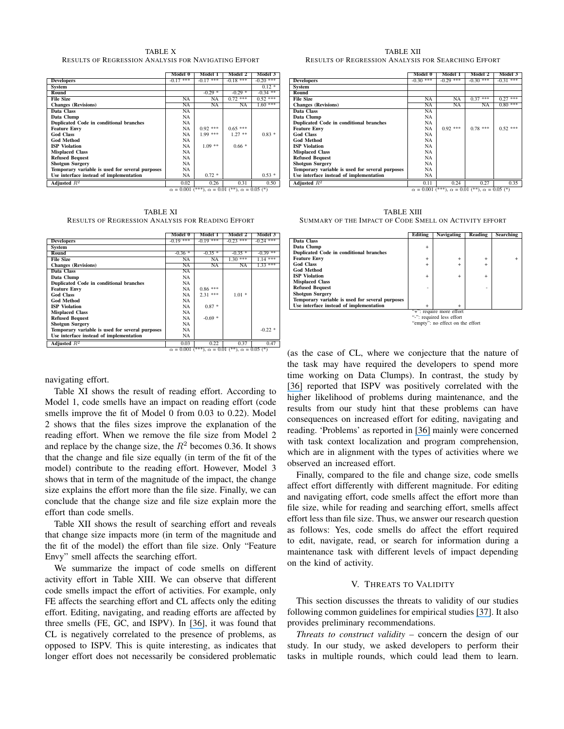TABLE X RESULTS OF REGRESSION ANALYSIS FOR NAVIGATING EFFORT

|                                                 | Model 0     | Model 1                                                           | Model 2     | Model 3     |
|-------------------------------------------------|-------------|-------------------------------------------------------------------|-------------|-------------|
| <b>Developers</b>                               | $-0.17$ *** | $-0.17$ ***                                                       | $-0.18$ *** | $-0.20$ *** |
| <b>System</b>                                   |             |                                                                   |             | $0.12*$     |
| Round                                           |             | $-0.29*$                                                          | $-0.29*$    | $-0.34$ **  |
| <b>File Size</b>                                | <b>NA</b>   | <b>NA</b>                                                         | $0.72$ ***  | $0.52***$   |
| <b>Changes</b> (Revisions)                      | NA          | NA                                                                | NA          | $1.60***$   |
| Data Class                                      | NA          |                                                                   |             |             |
| Data Clump                                      | NA          |                                                                   |             |             |
| Duplicated Code in conditional branches         | NA          |                                                                   |             |             |
| <b>Feature Envy</b>                             | NA          | $0.92$ ***                                                        | $0.65***$   |             |
| <b>God Class</b>                                | NA          | $1.99$ ***                                                        | $1.27$ **   | $0.83*$     |
| <b>God Method</b>                               | NA          |                                                                   |             |             |
| <b>ISP</b> Violation                            | NA          | $1.09**$                                                          | $0.66*$     |             |
| <b>Misplaced Class</b>                          | NA          |                                                                   |             |             |
| <b>Refused Bequest</b>                          | NA          |                                                                   |             |             |
| <b>Shotgun Surgery</b>                          | NA          |                                                                   |             |             |
| Temporary variable is used for several purposes | NA          |                                                                   |             |             |
| Use interface instead of implementation         | NA          | $0.72*$                                                           |             | $0.53*$     |
| Adjusted $R^2$                                  | 0.02        | 0.26                                                              | 0.31        | 0.50        |
|                                                 |             | $\alpha = 0.001$ (***), $\alpha = 0.01$ (**), $\alpha = 0.05$ (*) |             |             |

TABLE XI

RESULTS OF REGRESSION ANALYSIS FOR READING EFFORT

|                                                                   | Model 0     | Model 1     | Model 2     | Model 3     |  |  |
|-------------------------------------------------------------------|-------------|-------------|-------------|-------------|--|--|
| <b>Developers</b>                                                 | $-0.19$ *** | $-0.19$ *** | $-0.23$ *** | $-0.24$ *** |  |  |
| <b>System</b>                                                     |             |             |             |             |  |  |
| Round                                                             | $-0.36*$    | $-0.35*$    | $-0.35$ *   | $-0.39**$   |  |  |
| <b>File Size</b>                                                  | NA          | NA          | $1.30***$   | $1.14$ ***  |  |  |
| <b>Changes (Revisions)</b>                                        | NA          | NA          | NA          | $1.33***$   |  |  |
| Data Class                                                        | NA          |             |             |             |  |  |
| Data Clump                                                        | NA          |             |             |             |  |  |
| <b>Duplicated Code in conditional branches</b>                    | NA          |             |             |             |  |  |
| <b>Feature Envy</b>                                               | NA          | $0.86***$   |             |             |  |  |
| <b>God Class</b>                                                  | NA          | $2.31***$   | $1.01*$     |             |  |  |
| <b>God Method</b>                                                 | NA          |             |             |             |  |  |
| <b>ISP Violation</b>                                              | NA          | $0.87*$     |             |             |  |  |
| <b>Misplaced Class</b>                                            | NA          |             |             |             |  |  |
| <b>Refused Bequest</b>                                            | NA          | $-0.69*$    |             |             |  |  |
| <b>Shotgun Surgery</b>                                            | NA          |             |             |             |  |  |
| Temporary variable is used for several purposes                   | NA          |             |             | $-0.22$ *   |  |  |
| Use interface instead of implementation                           | NA          |             |             |             |  |  |
| Adjusted $R^2$                                                    | 0.03        | 0.22        | 0.37        | 0.47        |  |  |
| $\alpha = 0.001$ (***), $\alpha = 0.01$ (**), $\alpha = 0.05$ (*) |             |             |             |             |  |  |

navigating effort.

Table XI shows the result of reading effort. According to Model 1, code smells have an impact on reading effort (code smells improve the fit of Model 0 from 0.03 to 0.22). Model 2 shows that the files sizes improve the explanation of the reading effort. When we remove the file size from Model 2 and replace by the change size, the  $R^2$  becomes 0.36. It shows that the change and file size equally (in term of the fit of the model) contribute to the reading effort. However, Model 3 shows that in term of the magnitude of the impact, the change size explains the effort more than the file size. Finally, we can conclude that the change size and file size explain more the effort than code smells.

Table XII shows the result of searching effort and reveals that change size impacts more (in term of the magnitude and the fit of the model) the effort than file size. Only "Feature Envy" smell affects the searching effort.

We summarize the impact of code smells on different activity effort in Table XIII. We can observe that different code smells impact the effort of activities. For example, only FE affects the searching effort and CL affects only the editing effort. Editing, navigating, and reading efforts are affected by three smells (FE, GC, and ISPV). In [\[36\]](https://www.researchgate.net/publication/257559901_Assessing_the_capability_of_code_smells_to_explain_maintenance_problems_An_empirical_study_combining_quantitative_and_qualitative_data?el=1_x_8&enrichId=rgreq-ffbaf248bf218e6f6fc338d5aad0d79b-XXX&enrichSource=Y292ZXJQYWdlOzMwMzUxMzU1MDtBUzozNzI1MjA0NDk1Mjc4MDhAMTQ2NTgyNzIwNDA3NA==), it was found that CL is negatively correlated to the presence of problems, as opposed to ISPV. This is quite interesting, as indicates that longer effort does not necessarily be considered problematic

TABLE XII RESULTS OF REGRESSION ANALYSIS FOR SEARCHING EFFORT

|                                                 | Model 0    | Model 1     | Model 2     | Model 3     |
|-------------------------------------------------|------------|-------------|-------------|-------------|
| <b>Developers</b>                               | $-0.30***$ | $-0.29$ *** | $-0.30$ *** | $-0.31$ *** |
| System                                          |            |             |             |             |
| Round                                           |            |             |             |             |
| <b>File Size</b>                                | NA         | <b>NA</b>   | ***<br>0.37 | 容字字<br>0.27 |
| <b>Changes</b> (Revisions)                      | NA         | NA          | NA          | $0.80***$   |
| Data Class                                      | NA         |             |             |             |
| Data Clump                                      | NA         |             |             |             |
| Duplicated Code in conditional branches         | NA         |             |             |             |
| <b>Feature Envy</b>                             | NA         | $0.92***$   | $0.78$ ***  | $0.52$ ***  |
| <b>God Class</b>                                | NA         |             |             |             |
| <b>God Method</b>                               | NA         |             |             |             |
| <b>ISP Violation</b>                            | NA         |             |             |             |
| <b>Misplaced Class</b>                          | NA         |             |             |             |
| <b>Refused Bequest</b>                          | NA         |             |             |             |
| <b>Shotgun Surgery</b>                          | <b>NA</b>  |             |             |             |
| Temporary variable is used for several purposes | NA         |             |             |             |
| Use interface instead of implementation         | NA         |             |             |             |
| Adjusted $R^2$                                  | 0.11       | 0.24        | 0.27        | 0.35        |

 $\alpha = 0.001$  (\*\*\*),  $\alpha = 0.01$  (\*\*),  $\alpha = 0.05$  (\*)

TABLE XIII SUMMARY OF THE IMPACT OF CODE SMELL ON ACTIVITY EFFORT

|                                                 | Editing                          | <b>Navigating</b> | <b>Reading</b> | <b>Searching</b> |  |  |
|-------------------------------------------------|----------------------------------|-------------------|----------------|------------------|--|--|
| Data Class                                      |                                  |                   |                |                  |  |  |
| Data Clump                                      | $\ddot{}$                        |                   |                |                  |  |  |
| Duplicated Code in conditional branches         |                                  |                   |                |                  |  |  |
| <b>Feature Envy</b>                             | $\ddot{}$                        | $\pm$             | $\ddot{}$      | $\ddot{}$        |  |  |
| God Class                                       | $\ddot{}$                        | $^{+}$            | $\ddot{}$      |                  |  |  |
| God Method                                      |                                  |                   |                |                  |  |  |
| <b>ISP</b> Violation                            | $\ddot{}$                        | $\div$            | $\ddot{}$      |                  |  |  |
| <b>Misplaced Class</b>                          |                                  |                   |                |                  |  |  |
| <b>Refused Bequest</b>                          | ۰                                |                   | ۰              |                  |  |  |
| <b>Shotgun Surgery</b>                          |                                  |                   |                |                  |  |  |
| Temporary variable is used for several purposes |                                  |                   |                |                  |  |  |
| Use interface instead of implementation         | $\ddot{}$                        | $\overline{+}$    |                |                  |  |  |
|                                                 | "+": require more effort         |                   |                |                  |  |  |
|                                                 | "-": required less effort        |                   |                |                  |  |  |
|                                                 | "empty": no effect on the effort |                   |                |                  |  |  |

(as the case of CL, where we conjecture that the nature of the task may have required the developers to spend more time working on Data Clumps). In contrast, the study by [\[36\]](https://www.researchgate.net/publication/257559901_Assessing_the_capability_of_code_smells_to_explain_maintenance_problems_An_empirical_study_combining_quantitative_and_qualitative_data?el=1_x_8&enrichId=rgreq-ffbaf248bf218e6f6fc338d5aad0d79b-XXX&enrichSource=Y292ZXJQYWdlOzMwMzUxMzU1MDtBUzozNzI1MjA0NDk1Mjc4MDhAMTQ2NTgyNzIwNDA3NA==) reported that ISPV was positively correlated with the higher likelihood of problems during maintenance, and the results from our study hint that these problems can have consequences on increased effort for editing, navigating and reading. 'Problems' as reported in [\[36\]](https://www.researchgate.net/publication/257559901_Assessing_the_capability_of_code_smells_to_explain_maintenance_problems_An_empirical_study_combining_quantitative_and_qualitative_data?el=1_x_8&enrichId=rgreq-ffbaf248bf218e6f6fc338d5aad0d79b-XXX&enrichSource=Y292ZXJQYWdlOzMwMzUxMzU1MDtBUzozNzI1MjA0NDk1Mjc4MDhAMTQ2NTgyNzIwNDA3NA==) mainly were concerned with task context localization and program comprehension, which are in alignment with the types of activities where we observed an increased effort.

Finally, compared to the file and change size, code smells affect effort differently with different magnitude. For editing and navigating effort, code smells affect the effort more than file size, while for reading and searching effort, smells affect effort less than file size. Thus, we answer our research question as follows: Yes, code smells do affect the effort required to edit, navigate, read, or search for information during a maintenance task with different levels of impact depending on the kind of activity.

# V. THREATS TO VALIDITY

This section discusses the threats to validity of our studies following common guidelines for empirical studies [\[37\]](https://www.researchgate.net/publication/200048041_Case_Study_Research_Design_and_Methods_Applied_Social_Research_Methods_Series_Volume_5?el=1_x_8&enrichId=rgreq-ffbaf248bf218e6f6fc338d5aad0d79b-XXX&enrichSource=Y292ZXJQYWdlOzMwMzUxMzU1MDtBUzozNzI1MjA0NDk1Mjc4MDhAMTQ2NTgyNzIwNDA3NA==). It also provides preliminary recommendations.

*Threats to construct validity –* concern the design of our study. In our study, we asked developers to perform their tasks in multiple rounds, which could lead them to learn.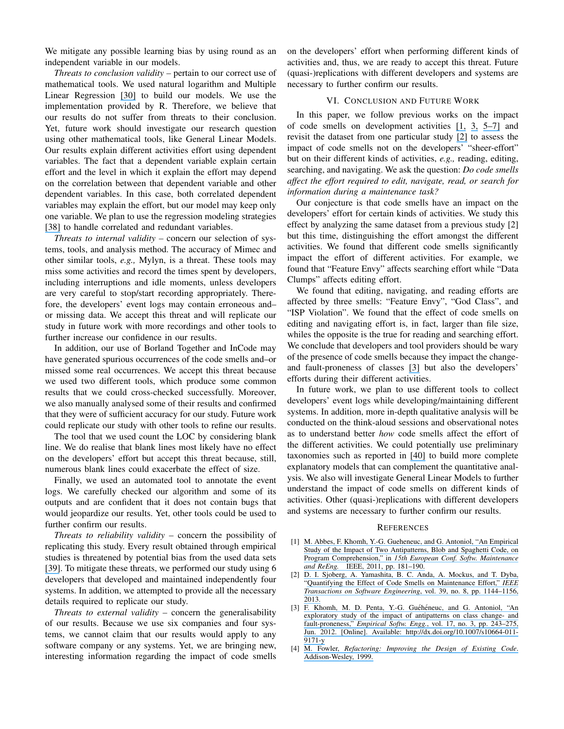We mitigate any possible learning bias by using round as an independent variable in our models.

*Threats to conclusion validity –* pertain to our correct use of mathematical tools. We used natural logarithm and Multiple Linear Regression [\[30\]](https://www.researchgate.net/publication/241278355_Discovering_Statistics_Using_SAS?el=1_x_8&enrichId=rgreq-ffbaf248bf218e6f6fc338d5aad0d79b-XXX&enrichSource=Y292ZXJQYWdlOzMwMzUxMzU1MDtBUzozNzI1MjA0NDk1Mjc4MDhAMTQ2NTgyNzIwNDA3NA==) to build our models. We use the implementation provided by R. Therefore, we believe that our results do not suffer from threats to their conclusion. Yet, future work should investigate our research question using other mathematical tools, like General Linear Models. Our results explain different activities effort using dependent variables. The fact that a dependent variable explain certain effort and the level in which it explain the effort may depend on the correlation between that dependent variable and other dependent variables. In this case, both correlated dependent variables may explain the effort, but our model may keep only one variable. We plan to use the regression modeling strategies [\[38\]](https://www.researchgate.net/publication/284240196_Regression_Modeling_Strategies_With_Applications_to_Linear_Models_Logistic_Regression_and_Survival_Analysis?el=1_x_8&enrichId=rgreq-ffbaf248bf218e6f6fc338d5aad0d79b-XXX&enrichSource=Y292ZXJQYWdlOzMwMzUxMzU1MDtBUzozNzI1MjA0NDk1Mjc4MDhAMTQ2NTgyNzIwNDA3NA==) to handle correlated and redundant variables.

*Threats to internal validity –* concern our selection of systems, tools, and analysis method. The accuracy of Mimec and other similar tools, *e.g.,* Mylyn, is a threat. These tools may miss some activities and record the times spent by developers, including interruptions and idle moments, unless developers are very careful to stop/start recording appropriately. Therefore, the developers' event logs may contain erroneous and– or missing data. We accept this threat and will replicate our study in future work with more recordings and other tools to further increase our confidence in our results.

In addition, our use of Borland Together and InCode may have generated spurious occurrences of the code smells and–or missed some real occurrences. We accept this threat because we used two different tools, which produce some common results that we could cross-checked successfully. Moreover, we also manually analysed some of their results and confirmed that they were of sufficient accuracy for our study. Future work could replicate our study with other tools to refine our results.

The tool that we used count the LOC by considering blank line. We do realise that blank lines most likely have no effect on the developers' effort but accept this threat because, still, numerous blank lines could exacerbate the effect of size.

Finally, we used an automated tool to annotate the event logs. We carefully checked our algorithm and some of its outputs and are confident that it does not contain bugs that would jeopardize our results. Yet, other tools could be used to further confirm our results.

*Threats to reliability validity –* concern the possibility of replicating this study. Every result obtained through empirical studies is threatened by potential bias from the used data sets [\[39\]](https://www.researchgate.net/publication/3189710_Data_Mining_Static_Code_Attributes_to_Learn_Defect_Predictors?el=1_x_8&enrichId=rgreq-ffbaf248bf218e6f6fc338d5aad0d79b-XXX&enrichSource=Y292ZXJQYWdlOzMwMzUxMzU1MDtBUzozNzI1MjA0NDk1Mjc4MDhAMTQ2NTgyNzIwNDA3NA==). To mitigate these threats, we performed our study using 6 developers that developed and maintained independently four systems. In addition, we attempted to provide all the necessary details required to replicate our study.

*Threats to external validity –* concern the generalisability of our results. Because we use six companies and four systems, we cannot claim that our results would apply to any software company or any systems. Yet, we are bringing new, interesting information regarding the impact of code smells on the developers' effort when performing different kinds of activities and, thus, we are ready to accept this threat. Future (quasi-)replications with different developers and systems are necessary to further confirm our results.

## VI. CONCLUSION AND FUTURE WORK

In this paper, we follow previous works on the impact of code smells on development activities  $[1, 3, 5-7]$  $[1, 3, 5-7]$  $[1, 3, 5-7]$  $[1, 3, 5-7]$  $[1, 3, 5-7]$  and revisit the dataset from one particular study [\[2\]](https://www.researchgate.net/publication/260648949_Quantifying_the_Effect_of_Code_Smells_on_Maintenance_Effort?el=1_x_8&enrichId=rgreq-ffbaf248bf218e6f6fc338d5aad0d79b-XXX&enrichSource=Y292ZXJQYWdlOzMwMzUxMzU1MDtBUzozNzI1MjA0NDk1Mjc4MDhAMTQ2NTgyNzIwNDA3NA==) to assess the impact of code smells not on the developers' "sheer-effort" but on their different kinds of activities, *e.g.,* reading, editing, searching, and navigating. We ask the question: *Do code smells affect the effort required to edit, navigate, read, or search for information during a maintenance task?*

Our conjecture is that code smells have an impact on the developers' effort for certain kinds of activities. We study this effect by analyzing the same dataset from a previous study [2] but this time, distinguishing the effort amongst the different activities. We found that different code smells significantly impact the effort of different activities. For example, we found that "Feature Envy" affects searching effort while "Data Clumps" affects editing effort.

We found that editing, navigating, and reading efforts are affected by three smells: "Feature Envy", "God Class", and "ISP Violation". We found that the effect of code smells on editing and navigating effort is, in fact, larger than file size, whiles the opposite is the true for reading and searching effort. We conclude that developers and tool providers should be wary of the presence of code smells because they impact the changeand fault-proneness of classes [\[3\]](https://www.researchgate.net/publication/225210593_An_exploratory_study_of_the_impact_of_antipatterns_on_class_change-_and_fault-proneness?el=1_x_8&enrichId=rgreq-ffbaf248bf218e6f6fc338d5aad0d79b-XXX&enrichSource=Y292ZXJQYWdlOzMwMzUxMzU1MDtBUzozNzI1MjA0NDk1Mjc4MDhAMTQ2NTgyNzIwNDA3NA==) but also the developers' efforts during their different activities.

In future work, we plan to use different tools to collect developers' event logs while developing/maintaining different systems. In addition, more in-depth qualitative analysis will be conducted on the think-aloud sessions and observational notes as to understand better *how* code smells affect the effort of the different activities. We could potentially use preliminary taxonomies such as reported in [\[40\]](https://www.researchgate.net/publication/261417124_Towards_a_Taxonomy_of_Programming-Related_Difficulties_during_Maintenance?el=1_x_8&enrichId=rgreq-ffbaf248bf218e6f6fc338d5aad0d79b-XXX&enrichSource=Y292ZXJQYWdlOzMwMzUxMzU1MDtBUzozNzI1MjA0NDk1Mjc4MDhAMTQ2NTgyNzIwNDA3NA==) to build more complete explanatory models that can complement the quantitative analysis. We also will investigate General Linear Models to further understand the impact of code smells on different kinds of activities. Other (quasi-)replications with different developers and systems are necessary to further confirm our results.

#### **REFERENCES**

- [1] [M. Abbes, F. Khomh, Y.-G. Gueheneuc, and G. Antoniol, "An Empirical](https://www.researchgate.net/publication/221570070_An_Empirical_Study_of_the_Impact_of_Two_Antipatterns_Blob_and_Spaghetti_Code_On_Program_Comprehension?el=1_x_8&enrichId=rgreq-ffbaf248bf218e6f6fc338d5aad0d79b-XXX&enrichSource=Y292ZXJQYWdlOzMwMzUxMzU1MDtBUzozNzI1MjA0NDk1Mjc4MDhAMTQ2NTgyNzIwNDA3NA==) [Study of the Impact of Two Antipatterns, Blob and Spaghetti Code, on](https://www.researchgate.net/publication/221570070_An_Empirical_Study_of_the_Impact_of_Two_Antipatterns_Blob_and_Spaghetti_Code_On_Program_Comprehension?el=1_x_8&enrichId=rgreq-ffbaf248bf218e6f6fc338d5aad0d79b-XXX&enrichSource=Y292ZXJQYWdlOzMwMzUxMzU1MDtBUzozNzI1MjA0NDk1Mjc4MDhAMTQ2NTgyNzIwNDA3NA==) Program Comprehension," in *[15th European Conf. Softw. Maintenance](https://www.researchgate.net/publication/221570070_An_Empirical_Study_of_the_Impact_of_Two_Antipatterns_Blob_and_Spaghetti_Code_On_Program_Comprehension?el=1_x_8&enrichId=rgreq-ffbaf248bf218e6f6fc338d5aad0d79b-XXX&enrichSource=Y292ZXJQYWdlOzMwMzUxMzU1MDtBUzozNzI1MjA0NDk1Mjc4MDhAMTQ2NTgyNzIwNDA3NA==) and ReEng.* [IEEE, 2011, pp. 181–190.](https://www.researchgate.net/publication/221570070_An_Empirical_Study_of_the_Impact_of_Two_Antipatterns_Blob_and_Spaghetti_Code_On_Program_Comprehension?el=1_x_8&enrichId=rgreq-ffbaf248bf218e6f6fc338d5aad0d79b-XXX&enrichSource=Y292ZXJQYWdlOzMwMzUxMzU1MDtBUzozNzI1MjA0NDk1Mjc4MDhAMTQ2NTgyNzIwNDA3NA==)
- [2] [D. I. Sjoberg, A. Yamashita, B. C. Anda, A. Mockus, and T. Dyba,](https://www.researchgate.net/publication/260648949_Quantifying_the_Effect_of_Code_Smells_on_Maintenance_Effort?el=1_x_8&enrichId=rgreq-ffbaf248bf218e6f6fc338d5aad0d79b-XXX&enrichSource=Y292ZXJQYWdlOzMwMzUxMzU1MDtBUzozNzI1MjA0NDk1Mjc4MDhAMTQ2NTgyNzIwNDA3NA==) ["Quantifying the Effect of Code Smells on Maintenance Effort,"](https://www.researchgate.net/publication/260648949_Quantifying_the_Effect_of_Code_Smells_on_Maintenance_Effort?el=1_x_8&enrichId=rgreq-ffbaf248bf218e6f6fc338d5aad0d79b-XXX&enrichSource=Y292ZXJQYWdlOzMwMzUxMzU1MDtBUzozNzI1MjA0NDk1Mjc4MDhAMTQ2NTgyNzIwNDA3NA==) *IEEE [Transactions on Software Engineering](https://www.researchgate.net/publication/260648949_Quantifying_the_Effect_of_Code_Smells_on_Maintenance_Effort?el=1_x_8&enrichId=rgreq-ffbaf248bf218e6f6fc338d5aad0d79b-XXX&enrichSource=Y292ZXJQYWdlOzMwMzUxMzU1MDtBUzozNzI1MjA0NDk1Mjc4MDhAMTQ2NTgyNzIwNDA3NA==)*, vol. 39, no. 8, pp. 1144–1156, [2013.](https://www.researchgate.net/publication/260648949_Quantifying_the_Effect_of_Code_Smells_on_Maintenance_Effort?el=1_x_8&enrichId=rgreq-ffbaf248bf218e6f6fc338d5aad0d79b-XXX&enrichSource=Y292ZXJQYWdlOzMwMzUxMzU1MDtBUzozNzI1MjA0NDk1Mjc4MDhAMTQ2NTgyNzIwNDA3NA==)
- [3] F. Khomh, M. D. Penta, Y.-G. Guéhéneuc, and G. Antoniol, "An [exploratory study of the impact of antipatterns on class change- and](https://www.researchgate.net/publication/225210593_An_exploratory_study_of_the_impact_of_antipatterns_on_class_change-_and_fault-proneness?el=1_x_8&enrichId=rgreq-ffbaf248bf218e6f6fc338d5aad0d79b-XXX&enrichSource=Y292ZXJQYWdlOzMwMzUxMzU1MDtBUzozNzI1MjA0NDk1Mjc4MDhAMTQ2NTgyNzIwNDA3NA==) fault-proneness," *Empirical Softw. Engg.*[, vol. 17, no. 3, pp. 243–275,](https://www.researchgate.net/publication/225210593_An_exploratory_study_of_the_impact_of_antipatterns_on_class_change-_and_fault-proneness?el=1_x_8&enrichId=rgreq-ffbaf248bf218e6f6fc338d5aad0d79b-XXX&enrichSource=Y292ZXJQYWdlOzMwMzUxMzU1MDtBUzozNzI1MjA0NDk1Mjc4MDhAMTQ2NTgyNzIwNDA3NA==) [Jun. 2012. \[Online\]. Available: http://dx.doi.org/10.1007/s10664-011-](https://www.researchgate.net/publication/225210593_An_exploratory_study_of_the_impact_of_antipatterns_on_class_change-_and_fault-proneness?el=1_x_8&enrichId=rgreq-ffbaf248bf218e6f6fc338d5aad0d79b-XXX&enrichSource=Y292ZXJQYWdlOzMwMzUxMzU1MDtBUzozNzI1MjA0NDk1Mjc4MDhAMTQ2NTgyNzIwNDA3NA==) [9171-y](https://www.researchgate.net/publication/225210593_An_exploratory_study_of_the_impact_of_antipatterns_on_class_change-_and_fault-proneness?el=1_x_8&enrichId=rgreq-ffbaf248bf218e6f6fc338d5aad0d79b-XXX&enrichSource=Y292ZXJQYWdlOzMwMzUxMzU1MDtBUzozNzI1MjA0NDk1Mjc4MDhAMTQ2NTgyNzIwNDA3NA==)
- [4] M. Fowler, *[Refactoring: Improving the Design of Existing Code](https://www.researchgate.net/publication/221592676_Refactoring_Improving_the_Design_of_Existing_Code?el=1_x_8&enrichId=rgreq-ffbaf248bf218e6f6fc338d5aad0d79b-XXX&enrichSource=Y292ZXJQYWdlOzMwMzUxMzU1MDtBUzozNzI1MjA0NDk1Mjc4MDhAMTQ2NTgyNzIwNDA3NA==)*. [Addison-Wesley, 1999.](https://www.researchgate.net/publication/221592676_Refactoring_Improving_the_Design_of_Existing_Code?el=1_x_8&enrichId=rgreq-ffbaf248bf218e6f6fc338d5aad0d79b-XXX&enrichSource=Y292ZXJQYWdlOzMwMzUxMzU1MDtBUzozNzI1MjA0NDk1Mjc4MDhAMTQ2NTgyNzIwNDA3NA==)